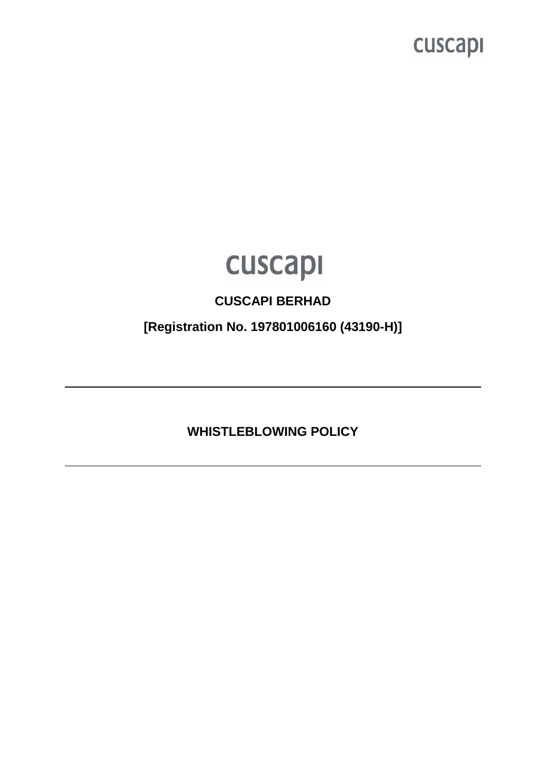

### **CUSCAPI BERHAD**

**[Registration No. 197801006160 (43190-H)]** 

**WHISTLEBLOWING POLICY**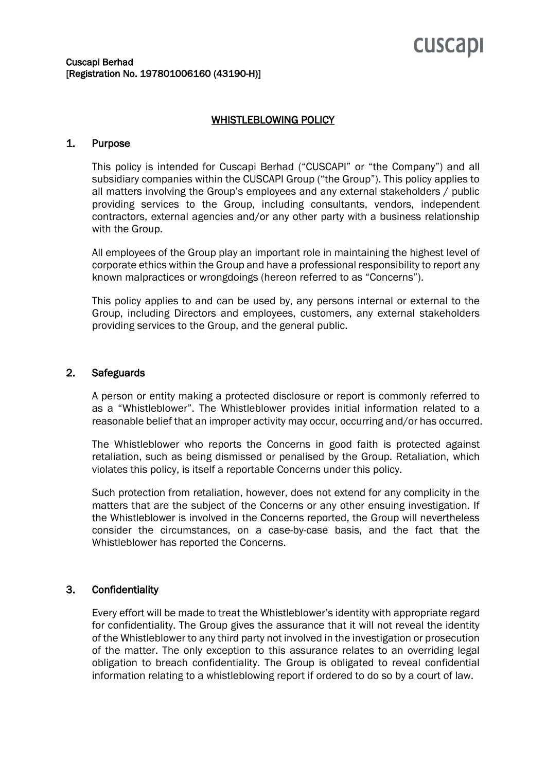#### WHISTLEBLOWING POLICY

#### 1. Purpose

This policy is intended for Cuscapi Berhad ("CUSCAPI" or "the Company") and all subsidiary companies within the CUSCAPI Group ("the Group"). This policy applies to all matters involving the Group's employees and any external stakeholders / public providing services to the Group, including consultants, vendors, independent contractors, external agencies and/or any other party with a business relationship with the Group.

All employees of the Group play an important role in maintaining the highest level of corporate ethics within the Group and have a professional responsibility to report any known malpractices or wrongdoings (hereon referred to as "Concerns").

This policy applies to and can be used by, any persons internal or external to the Group, including Directors and employees, customers, any external stakeholders providing services to the Group, and the general public.

#### 2. Safeguards

A person or entity making a protected disclosure or report is commonly referred to as a "Whistleblower". The Whistleblower provides initial information related to a reasonable belief that an improper activity may occur, occurring and/or has occurred.

The Whistleblower who reports the Concerns in good faith is protected against retaliation, such as being dismissed or penalised by the Group. Retaliation, which violates this policy, is itself a reportable Concerns under this policy.

Such protection from retaliation, however, does not extend for any complicity in the matters that are the subject of the Concerns or any other ensuing investigation. If the Whistleblower is involved in the Concerns reported, the Group will nevertheless consider the circumstances, on a case-by-case basis, and the fact that the Whistleblower has reported the Concerns.

#### 3. Confidentiality

Every effort will be made to treat the Whistleblower's identity with appropriate regard for confidentiality. The Group gives the assurance that it will not reveal the identity of the Whistleblower to any third party not involved in the investigation or prosecution of the matter. The only exception to this assurance relates to an overriding legal obligation to breach confidentiality. The Group is obligated to reveal confidential information relating to a whistleblowing report if ordered to do so by a court of law.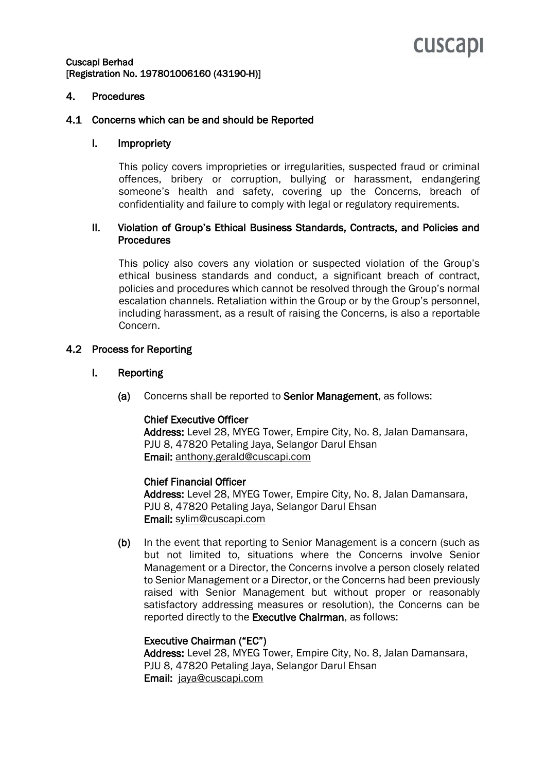#### Cuscapi Berhad [Registration No. 197801006160 (43190-H)]

#### 4. Procedures

#### 4.1 Concerns which can be and should be Reported

#### I. Impropriety

This policy covers improprieties or irregularities, suspected fraud or criminal offences, bribery or corruption, bullying or harassment, endangering someone's health and safety, covering up the Concerns, breach of confidentiality and failure to comply with legal or regulatory requirements.

#### II. Violation of Group's Ethical Business Standards, Contracts, and Policies and **Procedures**

This policy also covers any violation or suspected violation of the Group's ethical business standards and conduct, a significant breach of contract, policies and procedures which cannot be resolved through the Group's normal escalation channels. Retaliation within the Group or by the Group's personnel, including harassment, as a result of raising the Concerns, is also a reportable Concern.

#### 4.2 Process for Reporting

#### I. Reporting

(a) Concerns shall be reported to Senior Management, as follows:

#### Chief Executive Officer

Address: Level 28, MYEG Tower, Empire City, No. 8, Jalan Damansara, PJU 8, 47820 Petaling Jaya, Selangor Darul Ehsan Email: [anthony.gerald@cuscapi.com](mailto:anthony.gerald@cuscapi.com)

#### Chief Financial Officer

Address: Level 28, MYEG Tower, Empire City, No. 8, Jalan Damansara, PJU 8, 47820 Petaling Jaya, Selangor Darul Ehsan Email: [sylim@cuscapi.com](mailto:sylim@cuscapi.com)

(b) In the event that reporting to Senior Management is a concern (such as but not limited to, situations where the Concerns involve Senior Management or a Director, the Concerns involve a person closely related to Senior Management or a Director, or the Concerns had been previously raised with Senior Management but without proper or reasonably satisfactory addressing measures or resolution), the Concerns can be reported directly to the Executive Chairman, as follows:

#### Executive Chairman ("EC")

Address: Level 28, MYEG Tower, Empire City, No. 8, Jalan Damansara, PJU 8, 47820 Petaling Jaya, Selangor Darul Ehsan Email: [jaya@cuscapi.com](mailto:jaya@cuscapi.com)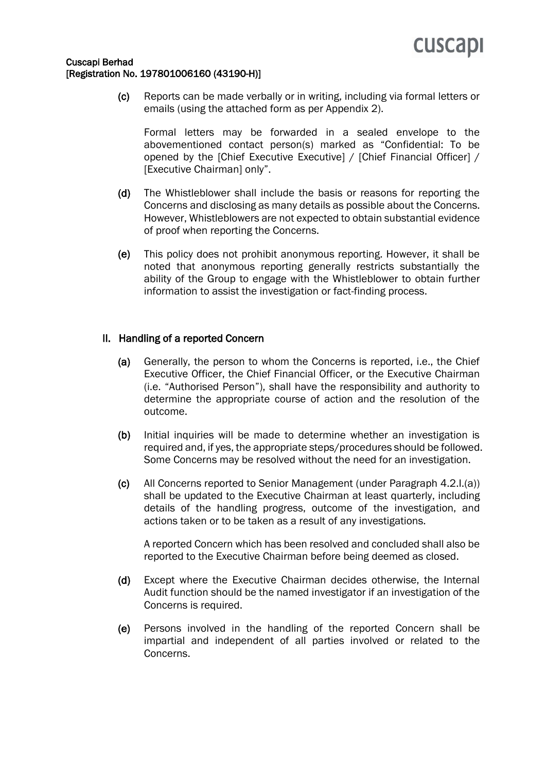

#### Cuscapi Berhad [Registration No. 197801006160 (43190-H)]

(c) Reports can be made verbally or in writing, including via formal letters or emails (using the attached form as per Appendix 2).

Formal letters may be forwarded in a sealed envelope to the abovementioned contact person(s) marked as "Confidential: To be opened by the [Chief Executive Executive] / [Chief Financial Officer] / [Executive Chairman] only".

- (d) The Whistleblower shall include the basis or reasons for reporting the Concerns and disclosing as many details as possible about the Concerns. However, Whistleblowers are not expected to obtain substantial evidence of proof when reporting the Concerns.
- (e) This policy does not prohibit anonymous reporting. However, it shall be noted that anonymous reporting generally restricts substantially the ability of the Group to engage with the Whistleblower to obtain further information to assist the investigation or fact-finding process.

#### II. Handling of a reported Concern

- (a) Generally, the person to whom the Concerns is reported, i.e., the Chief Executive Officer, the Chief Financial Officer, or the Executive Chairman (i.e. "Authorised Person"), shall have the responsibility and authority to determine the appropriate course of action and the resolution of the outcome.
- (b) Initial inquiries will be made to determine whether an investigation is required and, if yes, the appropriate steps/procedures should be followed. Some Concerns may be resolved without the need for an investigation.
- (c) All Concerns reported to Senior Management (under Paragraph 4.2.I.(a)) shall be updated to the Executive Chairman at least quarterly, including details of the handling progress, outcome of the investigation, and actions taken or to be taken as a result of any investigations.

A reported Concern which has been resolved and concluded shall also be reported to the Executive Chairman before being deemed as closed.

- (d) Except where the Executive Chairman decides otherwise, the Internal Audit function should be the named investigator if an investigation of the Concerns is required.
- (e) Persons involved in the handling of the reported Concern shall be impartial and independent of all parties involved or related to the Concerns.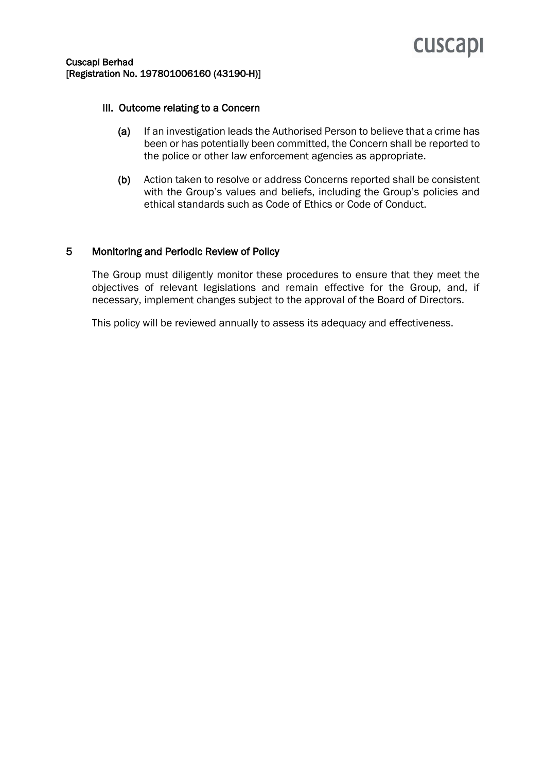#### Cuscapi Berhad [Registration No. 197801006160 (43190-H)]

#### III. Outcome relating to a Concern

- (a) If an investigation leads the Authorised Person to believe that a crime has been or has potentially been committed, the Concern shall be reported to the police or other law enforcement agencies as appropriate.
- (b) Action taken to resolve or address Concerns reported shall be consistent with the Group's values and beliefs, including the Group's policies and ethical standards such as Code of Ethics or Code of Conduct.

#### 5 Monitoring and Periodic Review of Policy

The Group must diligently monitor these procedures to ensure that they meet the objectives of relevant legislations and remain effective for the Group, and, if necessary, implement changes subject to the approval of the Board of Directors.

This policy will be reviewed annually to assess its adequacy and effectiveness.